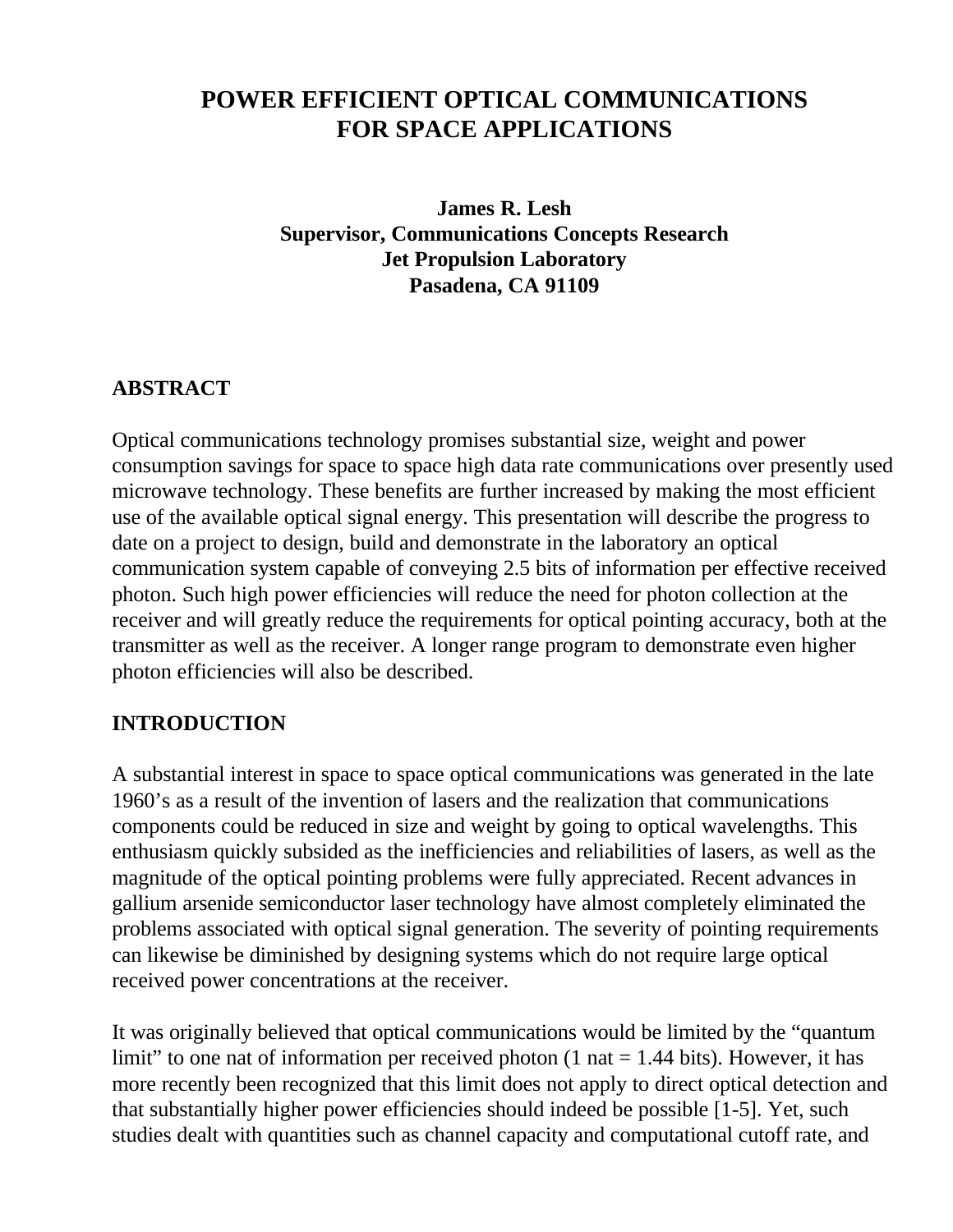# **POWER EFFICIENT OPTICAL COMMUNICATIONS FOR SPACE APPLICATIONS**

**James R. Lesh Supervisor, Communications Concepts Research Jet Propulsion Laboratory Pasadena, CA 91109**

#### **ABSTRACT**

Optical communications technology promises substantial size, weight and power consumption savings for space to space high data rate communications over presently used microwave technology. These benefits are further increased by making the most efficient use of the available optical signal energy. This presentation will describe the progress to date on a project to design, build and demonstrate in the laboratory an optical communication system capable of conveying 2.5 bits of information per effective received photon. Such high power efficiencies will reduce the need for photon collection at the receiver and will greatly reduce the requirements for optical pointing accuracy, both at the transmitter as well as the receiver. A longer range program to demonstrate even higher photon efficiencies will also be described.

#### **INTRODUCTION**

A substantial interest in space to space optical communications was generated in the late 1960's as a result of the invention of lasers and the realization that communications components could be reduced in size and weight by going to optical wavelengths. This enthusiasm quickly subsided as the inefficiencies and reliabilities of lasers, as well as the magnitude of the optical pointing problems were fully appreciated. Recent advances in gallium arsenide semiconductor laser technology have almost completely eliminated the problems associated with optical signal generation. The severity of pointing requirements can likewise be diminished by designing systems which do not require large optical received power concentrations at the receiver.

It was originally believed that optical communications would be limited by the "quantum limit" to one nat of information per received photon  $(1 \text{ nat} = 1.44 \text{ bits})$ . However, it has more recently been recognized that this limit does not apply to direct optical detection and that substantially higher power efficiencies should indeed be possible [1-5]. Yet, such studies dealt with quantities such as channel capacity and computational cutoff rate, and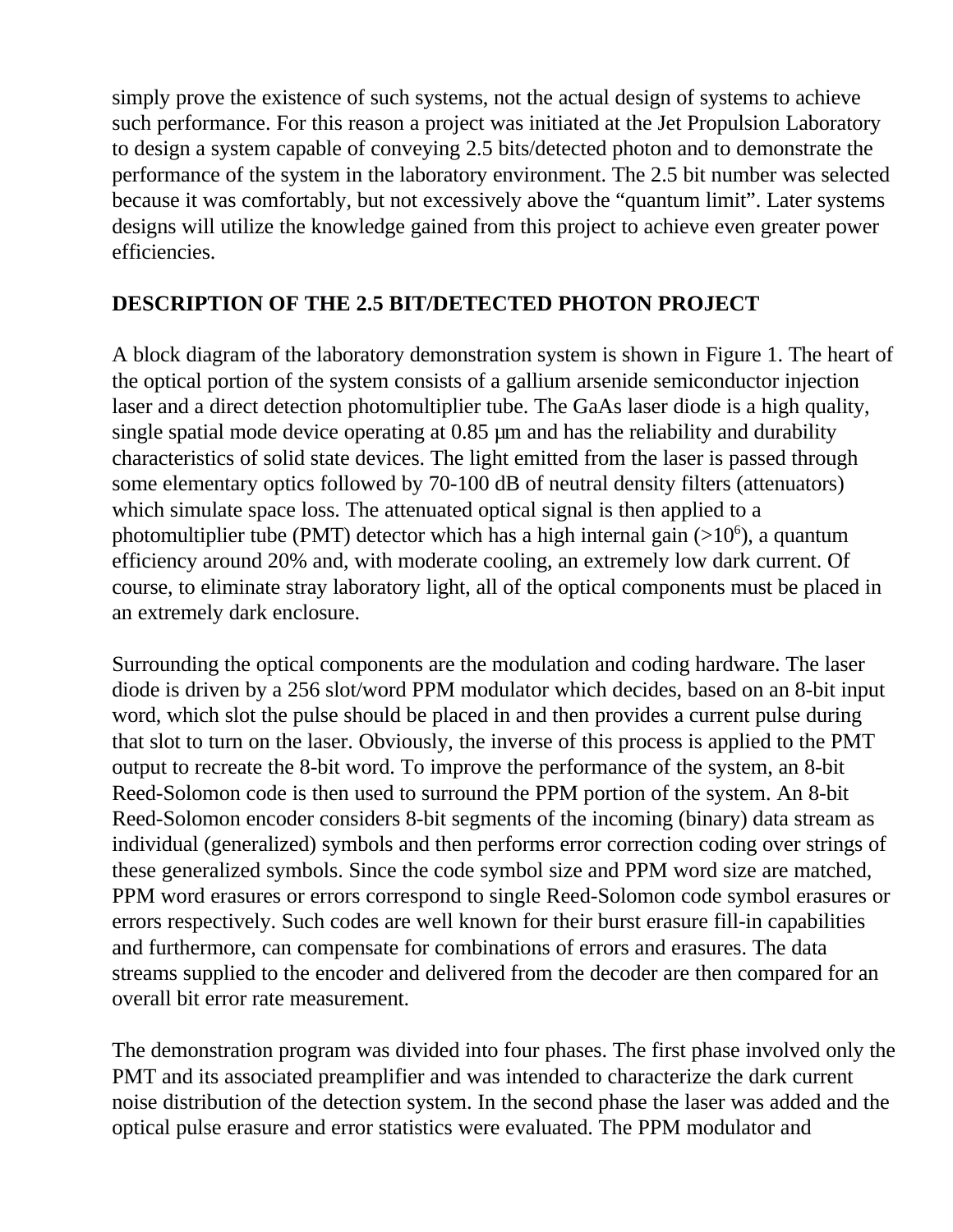simply prove the existence of such systems, not the actual design of systems to achieve such performance. For this reason a project was initiated at the Jet Propulsion Laboratory to design a system capable of conveying 2.5 bits/detected photon and to demonstrate the performance of the system in the laboratory environment. The 2.5 bit number was selected because it was comfortably, but not excessively above the "quantum limit". Later systems designs will utilize the knowledge gained from this project to achieve even greater power efficiencies.

#### **DESCRIPTION OF THE 2.5 BIT/DETECTED PHOTON PROJECT**

A block diagram of the laboratory demonstration system is shown in Figure 1. The heart of the optical portion of the system consists of a gallium arsenide semiconductor injection laser and a direct detection photomultiplier tube. The GaAs laser diode is a high quality, single spatial mode device operating at 0.85  $\mu$ m and has the reliability and durability characteristics of solid state devices. The light emitted from the laser is passed through some elementary optics followed by 70-100 dB of neutral density filters (attenuators) which simulate space loss. The attenuated optical signal is then applied to a photomultiplier tube (PMT) detector which has a high internal gain  $(>10^6)$ , a quantum efficiency around 20% and, with moderate cooling, an extremely low dark current. Of course, to eliminate stray laboratory light, all of the optical components must be placed in an extremely dark enclosure.

Surrounding the optical components are the modulation and coding hardware. The laser diode is driven by a 256 slot/word PPM modulator which decides, based on an 8-bit input word, which slot the pulse should be placed in and then provides a current pulse during that slot to turn on the laser. Obviously, the inverse of this process is applied to the PMT output to recreate the 8-bit word. To improve the performance of the system, an 8-bit Reed-Solomon code is then used to surround the PPM portion of the system. An 8-bit Reed-Solomon encoder considers 8-bit segments of the incoming (binary) data stream as individual (generalized) symbols and then performs error correction coding over strings of these generalized symbols. Since the code symbol size and PPM word size are matched, PPM word erasures or errors correspond to single Reed-Solomon code symbol erasures or errors respectively. Such codes are well known for their burst erasure fill-in capabilities and furthermore, can compensate for combinations of errors and erasures. The data streams supplied to the encoder and delivered from the decoder are then compared for an overall bit error rate measurement.

The demonstration program was divided into four phases. The first phase involved only the PMT and its associated preamplifier and was intended to characterize the dark current noise distribution of the detection system. In the second phase the laser was added and the optical pulse erasure and error statistics were evaluated. The PPM modulator and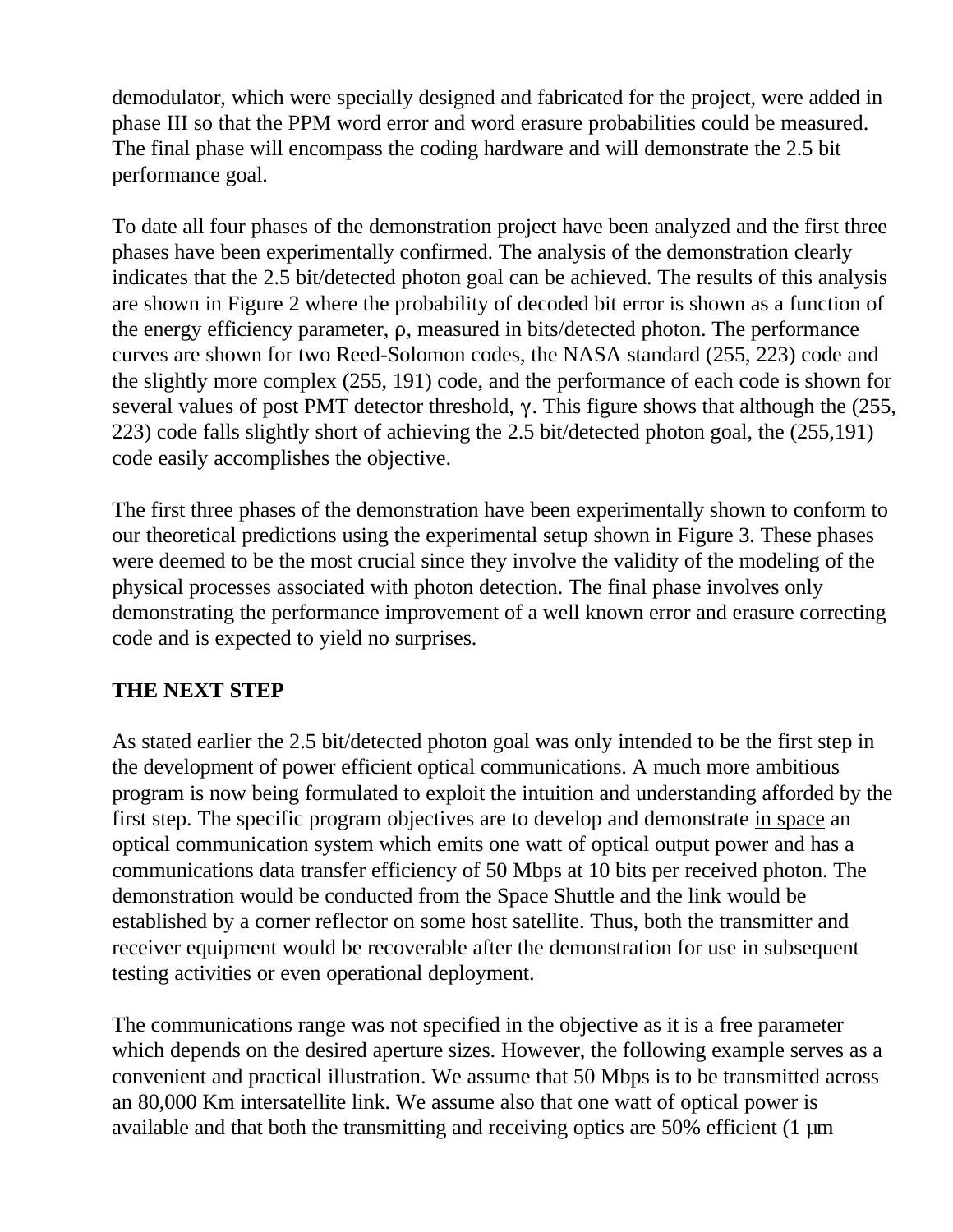demodulator, which were specially designed and fabricated for the project, were added in phase III so that the PPM word error and word erasure probabilities could be measured. The final phase will encompass the coding hardware and will demonstrate the 2.5 bit performance goal.

To date all four phases of the demonstration project have been analyzed and the first three phases have been experimentally confirmed. The analysis of the demonstration clearly indicates that the 2.5 bit/detected photon goal can be achieved. The results of this analysis are shown in Figure 2 where the probability of decoded bit error is shown as a function of the energy efficiency parameter,  $\rho$ , measured in bits/detected photon. The performance curves are shown for two Reed-Solomon codes, the NASA standard (255, 223) code and the slightly more complex (255, 191) code, and the performance of each code is shown for several values of post PMT detector threshold,  $\gamma$ . This figure shows that although the (255, 223) code falls slightly short of achieving the 2.5 bit/detected photon goal, the (255,191) code easily accomplishes the objective.

The first three phases of the demonstration have been experimentally shown to conform to our theoretical predictions using the experimental setup shown in Figure 3. These phases were deemed to be the most crucial since they involve the validity of the modeling of the physical processes associated with photon detection. The final phase involves only demonstrating the performance improvement of a well known error and erasure correcting code and is expected to yield no surprises.

#### **THE NEXT STEP**

As stated earlier the 2.5 bit/detected photon goal was only intended to be the first step in the development of power efficient optical communications. A much more ambitious program is now being formulated to exploit the intuition and understanding afforded by the first step. The specific program objectives are to develop and demonstrate in space an optical communication system which emits one watt of optical output power and has a communications data transfer efficiency of 50 Mbps at 10 bits per received photon. The demonstration would be conducted from the Space Shuttle and the link would be established by a corner reflector on some host satellite. Thus, both the transmitter and receiver equipment would be recoverable after the demonstration for use in subsequent testing activities or even operational deployment.

The communications range was not specified in the objective as it is a free parameter which depends on the desired aperture sizes. However, the following example serves as a convenient and practical illustration. We assume that 50 Mbps is to be transmitted across an 80,000 Km intersatellite link. We assume also that one watt of optical power is available and that both the transmitting and receiving optics are 50% efficient (1 µm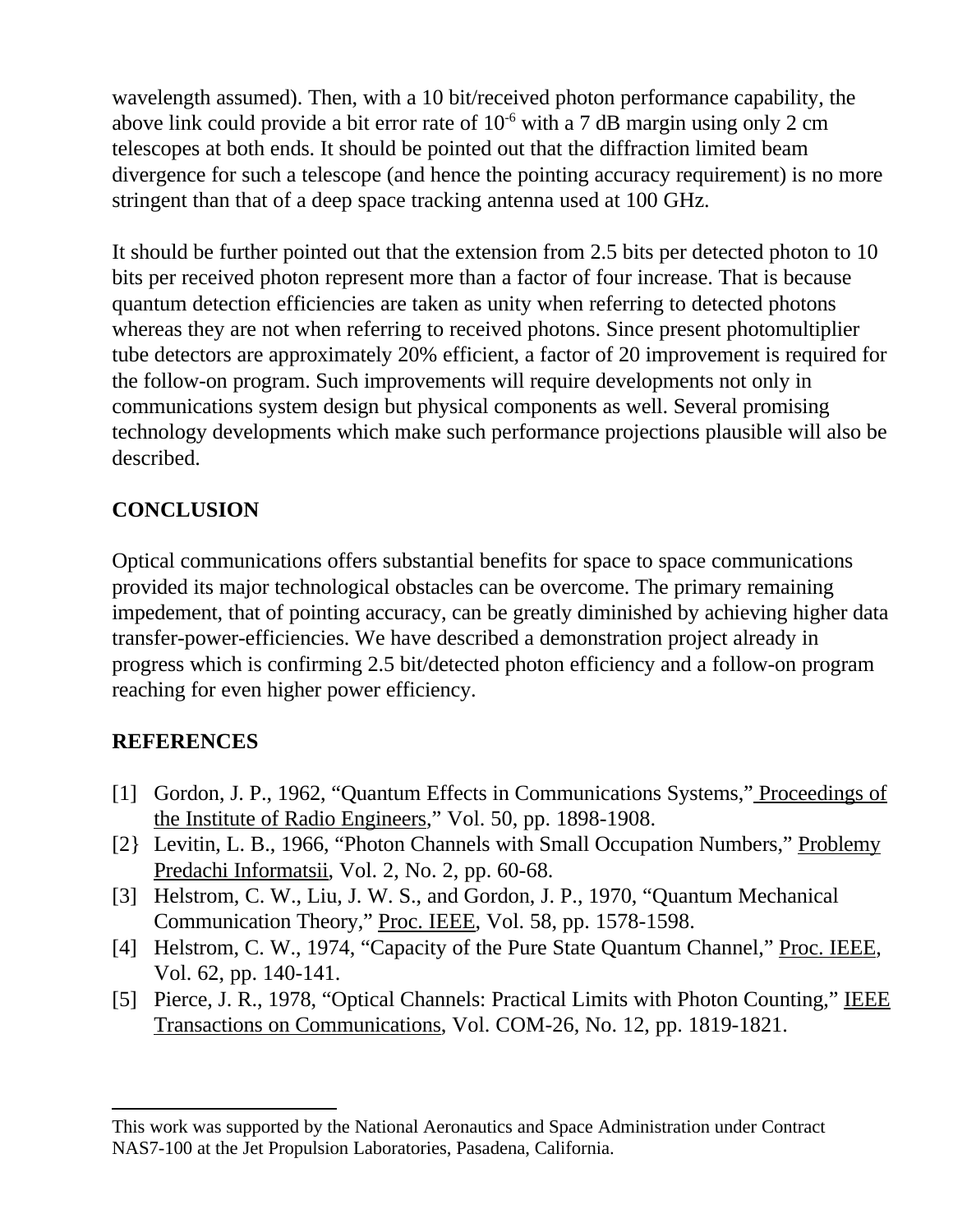wavelength assumed). Then, with a 10 bit/received photon performance capability, the above link could provide a bit error rate of 10-6 with a 7 dB margin using only 2 cm telescopes at both ends. It should be pointed out that the diffraction limited beam divergence for such a telescope (and hence the pointing accuracy requirement) is no more stringent than that of a deep space tracking antenna used at 100 GHz.

It should be further pointed out that the extension from 2.5 bits per detected photon to 10 bits per received photon represent more than a factor of four increase. That is because quantum detection efficiencies are taken as unity when referring to detected photons whereas they are not when referring to received photons. Since present photomultiplier tube detectors are approximately 20% efficient, a factor of 20 improvement is required for the follow-on program. Such improvements will require developments not only in communications system design but physical components as well. Several promising technology developments which make such performance projections plausible will also be described.

### **CONCLUSION**

Optical communications offers substantial benefits for space to space communications provided its major technological obstacles can be overcome. The primary remaining impedement, that of pointing accuracy, can be greatly diminished by achieving higher data transfer-power-efficiencies. We have described a demonstration project already in progress which is confirming 2.5 bit/detected photon efficiency and a follow-on program reaching for even higher power efficiency.

## **REFERENCES**

- [1] Gordon, J. P., 1962, "Quantum Effects in Communications Systems," Proceedings of the Institute of Radio Engineers," Vol. 50, pp. 1898-1908.
- [2} Levitin, L. B., 1966, "Photon Channels with Small Occupation Numbers," Problemy Predachi Informatsii, Vol. 2, No. 2, pp. 60-68.
- [3] Helstrom, C. W., Liu, J. W. S., and Gordon, J. P., 1970, "Quantum Mechanical Communication Theory," Proc. IEEE, Vol. 58, pp. 1578-1598.
- [4] Helstrom, C. W., 1974, "Capacity of the Pure State Quantum Channel," Proc. IEEE, Vol. 62, pp. 140-141.
- [5] Pierce, J. R., 1978, "Optical Channels: Practical Limits with Photon Counting," IEEE Transactions on Communications, Vol. COM-26, No. 12, pp. 1819-1821.

This work was supported by the National Aeronautics and Space Administration under Contract NAS7-100 at the Jet Propulsion Laboratories, Pasadena, California.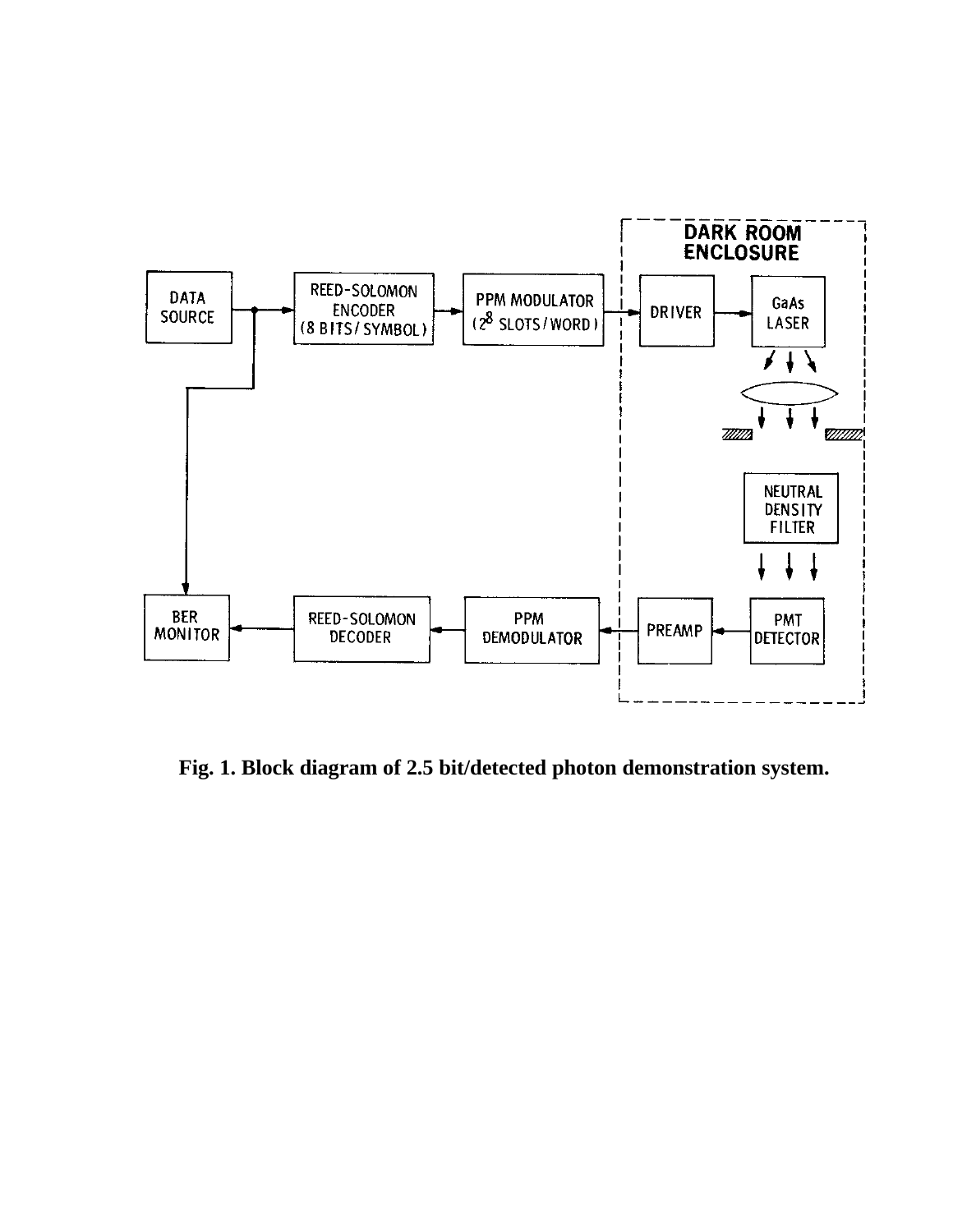

**Fig. 1. Block diagram of 2.5 bit/detected photon demonstration system.**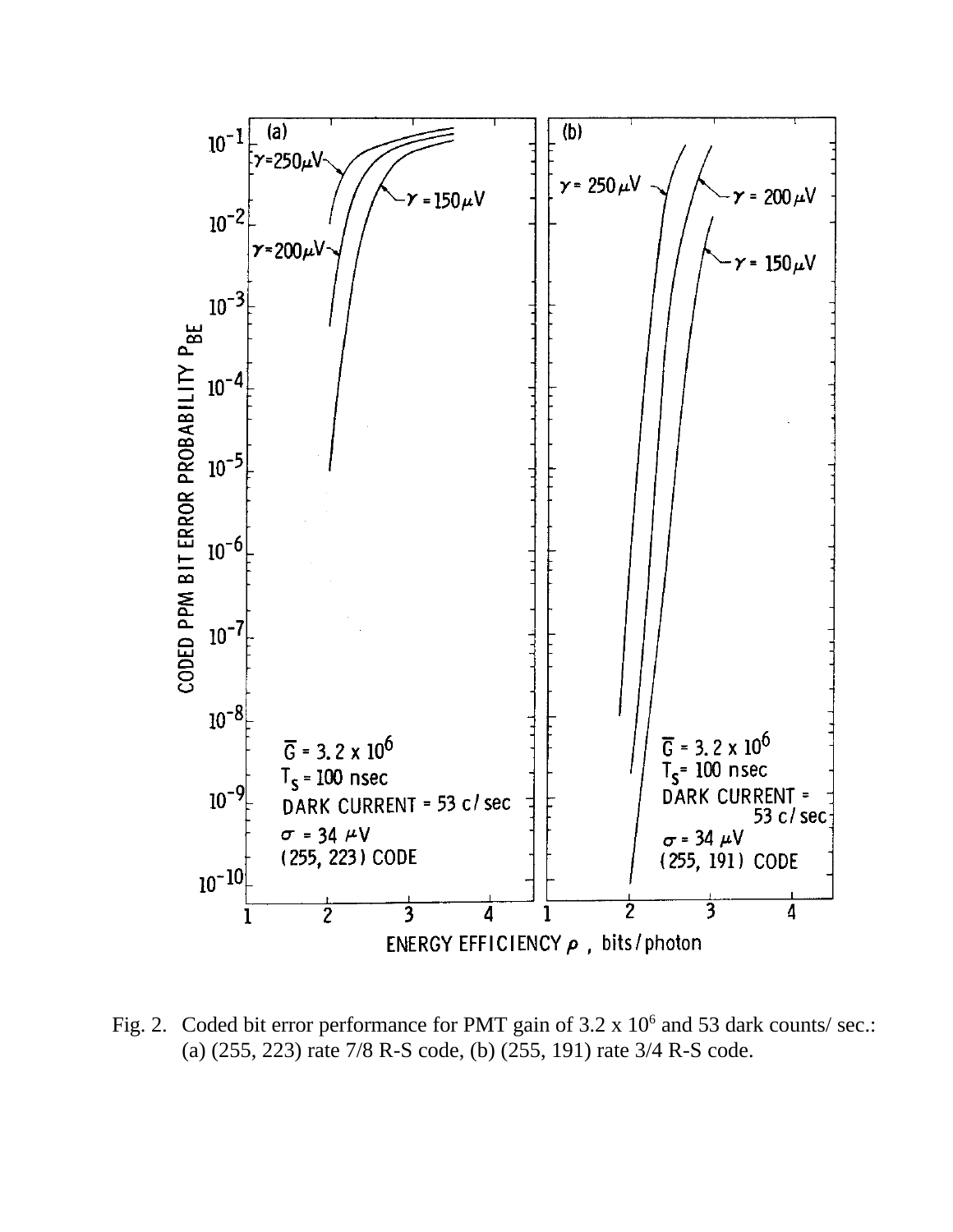

Fig. 2. Coded bit error performance for PMT gain of  $3.2 \times 10^6$  and 53 dark counts/ sec.: (a) (255, 223) rate 7/8 R-S code, (b) (255, 191) rate 3/4 R-S code.